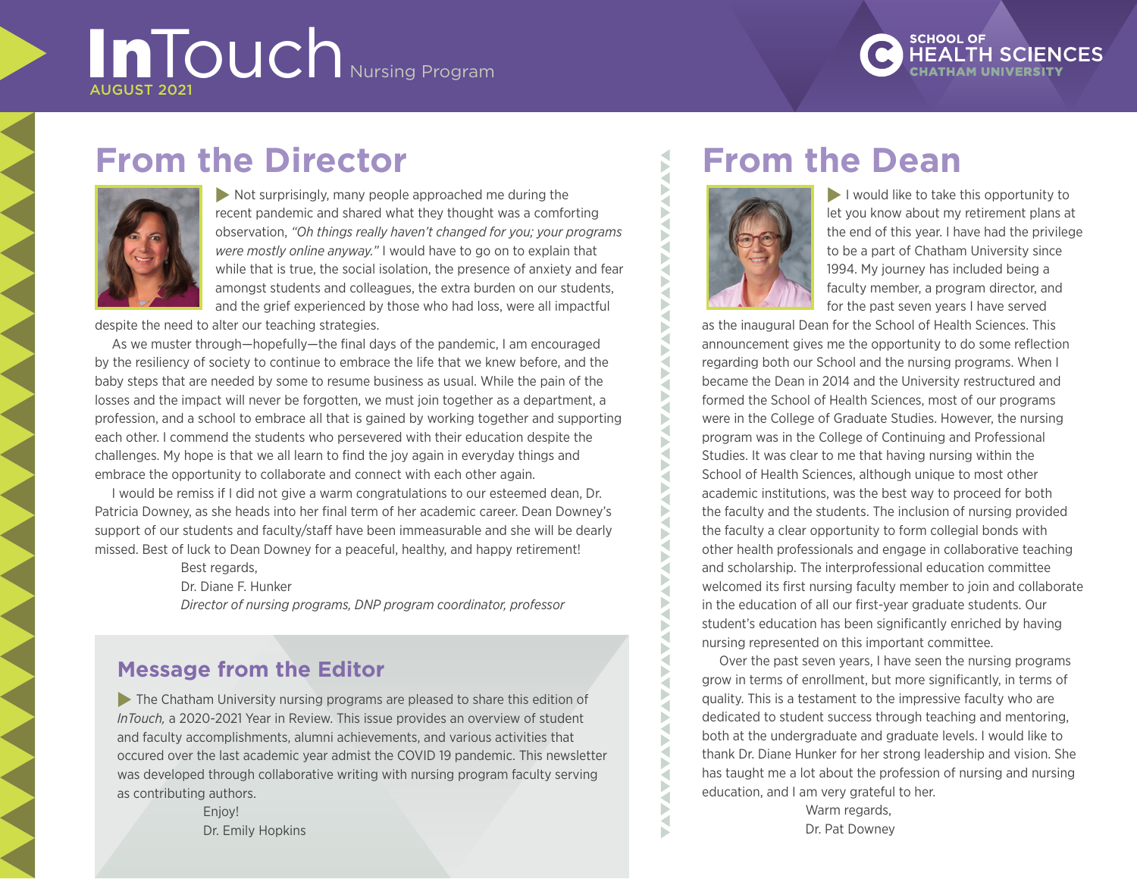# InTouch Nursing Program



# **From the Director**



 $\blacktriangleright$  Not surprisingly, many people approached me during the recent pandemic and shared what they thought was a comforting observation, *"Oh things really haven't changed for you; your programs were mostly online anyway."* I would have to go on to explain that while that is true, the social isolation, the presence of anxiety and fear amongst students and colleagues, the extra burden on our students, and the grief experienced by those who had loss, were all impactful

despite the need to alter our teaching strategies.

As we muster through—hopefully—the final days of the pandemic, I am encouraged by the resiliency of society to continue to embrace the life that we knew before, and the baby steps that are needed by some to resume business as usual. While the pain of the losses and the impact will never be forgotten, we must join together as a department, a profession, and a school to embrace all that is gained by working together and supporting each other. I commend the students who persevered with their education despite the challenges. My hope is that we all learn to find the joy again in everyday things and embrace the opportunity to collaborate and connect with each other again.

I would be remiss if I did not give a warm congratulations to our esteemed dean, Dr. Patricia Downey, as she heads into her final term of her academic career. Dean Downey's support of our students and faculty/staff have been immeasurable and she will be dearly missed. Best of luck to Dean Downey for a peaceful, healthy, and happy retirement!

Best regards,

Dr. Diane F. Hunker

*Director of nursing programs, DNP program coordinator, professor*

### **Message from the Editor**

 $\blacktriangleright$  The Chatham University nursing programs are pleased to share this edition of *InTouch,* a 2020-2021 Year in Review. This issue provides an overview of student and faculty accomplishments, alumni achievements, and various activities that occured over the last academic year admist the COVID 19 pandemic. This newsletter was developed through collaborative writing with nursing program faculty serving as contributing authors.

> Enjoy! Dr. Emily Hopkins

# **From the Dean**



**AVA** Б ₹ ь ₹ Б ₹ Þ ◀

Þ ₹ Þ ₹ P ₹  $\blacktriangleright$ ₹ E X  $\tilde{\mathbf{X}}$ ₹ Б ₹ ь ◁ E ₹ F ₹

D Κ  $\mathbf{F}$ ₹ Ř

**AAAA** F

 $\blacktriangleright$  I would like to take this opportunity to let you know about my retirement plans at the end of this year. I have had the privilege to be a part of Chatham University since 1994. My journey has included being a faculty member, a program director, and for the past seven years I have served

as the inaugural Dean for the School of Health Sciences. This announcement gives me the opportunity to do some reflection regarding both our School and the nursing programs. When I became the Dean in 2014 and the University restructured and formed the School of Health Sciences, most of our programs were in the College of Graduate Studies. However, the nursing program was in the College of Continuing and Professional Studies. It was clear to me that having nursing within the School of Health Sciences, although unique to most other academic institutions, was the best way to proceed for both the faculty and the students. The inclusion of nursing provided the faculty a clear opportunity to form collegial bonds with other health professionals and engage in collaborative teaching and scholarship. The interprofessional education committee welcomed its first nursing faculty member to join and collaborate in the education of all our first-year graduate students. Our student's education has been significantly enriched by having nursing represented on this important committee.

Over the past seven years, I have seen the nursing programs grow in terms of enrollment, but more significantly, in terms of quality. This is a testament to the impressive faculty who are dedicated to student success through teaching and mentoring, both at the undergraduate and graduate levels. I would like to thank Dr. Diane Hunker for her strong leadership and vision. She has taught me a lot about the profession of nursing and nursing education, and I am very grateful to her.

> Warm regards, Dr. Pat Downey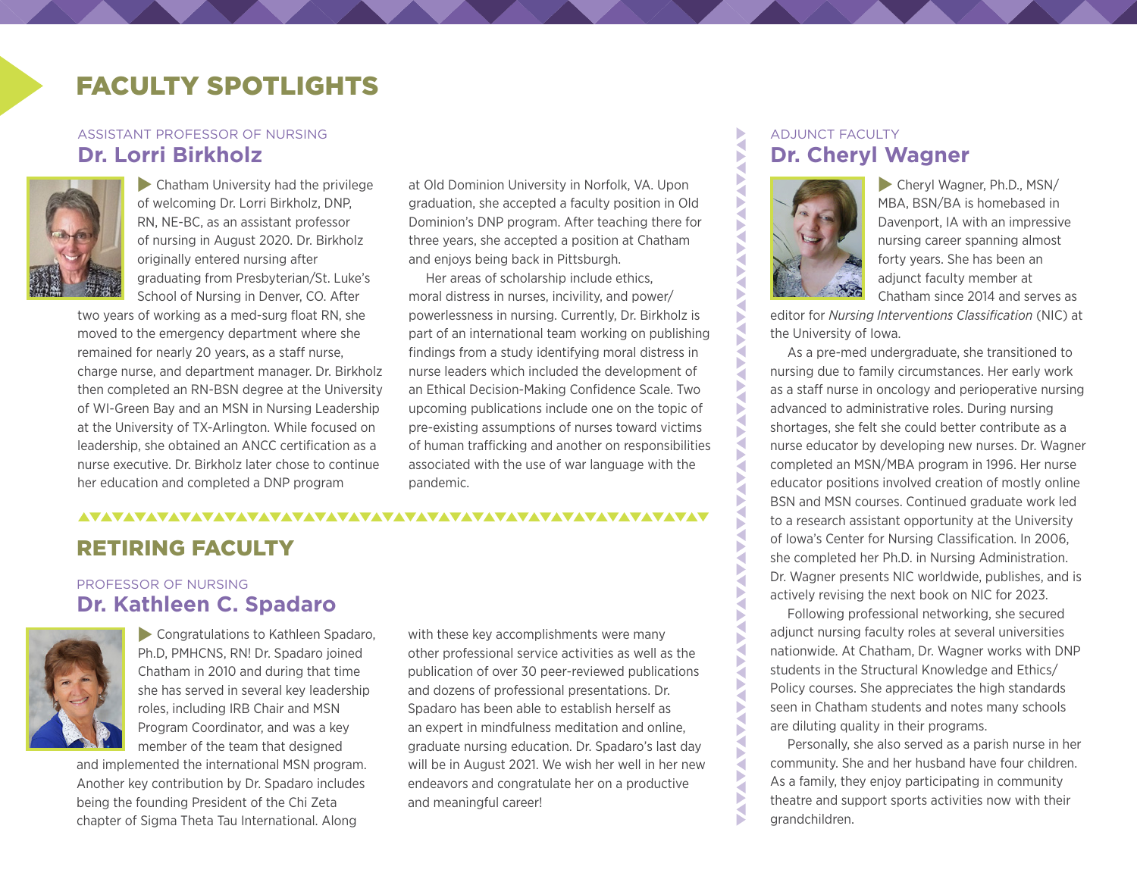# FACULTY SPOTLIGHTS

### ASSISTANT PROFESSOR OF NURSING **Dr. Lorri Birkholz**



 $\blacktriangleright$  Chatham University had the privilege of welcoming Dr. Lorri Birkholz, DNP, RN, NE-BC, as an assistant professor of nursing in August 2020. Dr. Birkholz originally entered nursing after graduating from Presbyterian/St. Luke's School of Nursing in Denver, CO. After

two years of working as a med-surg float RN, she moved to the emergency department where she remained for nearly 20 years, as a staff nurse, charge nurse, and department manager. Dr. Birkholz then completed an RN-BSN degree at the University of WI-Green Bay and an MSN in Nursing Leadership at the University of TX-Arlington. While focused on leadership, she obtained an ANCC certification as a nurse executive. Dr. Birkholz later chose to continue her education and completed a DNP program

at Old Dominion University in Norfolk, VA. Upon graduation, she accepted a faculty position in Old Dominion's DNP program. After teaching there for three years, she accepted a position at Chatham and enjoys being back in Pittsburgh.

Her areas of scholarship include ethics, moral distress in nurses, incivility, and power/ powerlessness in nursing. Currently, Dr. Birkholz is part of an international team working on publishing findings from a study identifying moral distress in nurse leaders which included the development of an Ethical Decision-Making Confidence Scale. Two upcoming publications include one on the topic of pre-existing assumptions of nurses toward victims of human trafficking and another on responsibilities associated with the use of war language with the pandemic.

### RETIRING FACULTY

### PROFESSOR OF NURSING **Dr. Kathleen C. Spadaro**



**Congratulations to Kathleen Spadaro,** Ph.D, PMHCNS, RN! Dr. Spadaro joined Chatham in 2010 and during that time she has served in several key leadership roles, including IRB Chair and MSN Program Coordinator, and was a key member of the team that designed

and implemented the international MSN program. Another key contribution by Dr. Spadaro includes being the founding President of the Chi Zeta chapter of Sigma Theta Tau International. Along

with these key accomplishments were many other professional service activities as well as the publication of over 30 peer-reviewed publications and dozens of professional presentations. Dr. Spadaro has been able to establish herself as an expert in mindfulness meditation and online, graduate nursing education. Dr. Spadaro's last day will be in August 2021. We wish her well in her new endeavors and congratulate her on a productive and meaningful career!

### ADJUNCT FACULTY **Dr. Cheryl Wagner**



Þ  $\tilde{\mathbf{S}}$ a

**AVAVANAY** 

P ⋜ Þ ₹ Б Ę Ę Ř Б Б ⋜ **ANAV** 

R

Б ⋜ Б K Б ⋜ P D E Ę Б a Þ К

**AVAILAY** 

P Š

 $\blacktriangleright$  Cheryl Wagner, Ph.D., MSN/ MBA, BSN/BA is homebased in Davenport, IA with an impressive nursing career spanning almost forty years. She has been an adjunct faculty member at Chatham since 2014 and serves as

editor for *Nursing Interventions Classification* (NIC) at the University of Iowa.

As a pre-med undergraduate, she transitioned to nursing due to family circumstances. Her early work as a staff nurse in oncology and perioperative nursing advanced to administrative roles. During nursing shortages, she felt she could better contribute as a nurse educator by developing new nurses. Dr. Wagner completed an MSN/MBA program in 1996. Her nurse educator positions involved creation of mostly online BSN and MSN courses. Continued graduate work led to a research assistant opportunity at the University of Iowa's Center for Nursing Classification. In 2006, she completed her Ph.D. in Nursing Administration. Dr. Wagner presents NIC worldwide, publishes, and is actively revising the next book on NIC for 2023.

Following professional networking, she secured adjunct nursing faculty roles at several universities nationwide. At Chatham, Dr. Wagner works with DNP students in the Structural Knowledge and Ethics/ Policy courses. She appreciates the high standards seen in Chatham students and notes many schools are diluting quality in their programs.

Personally, she also served as a parish nurse in her community. She and her husband have four children. As a family, they enjoy participating in community theatre and support sports activities now with their grandchildren.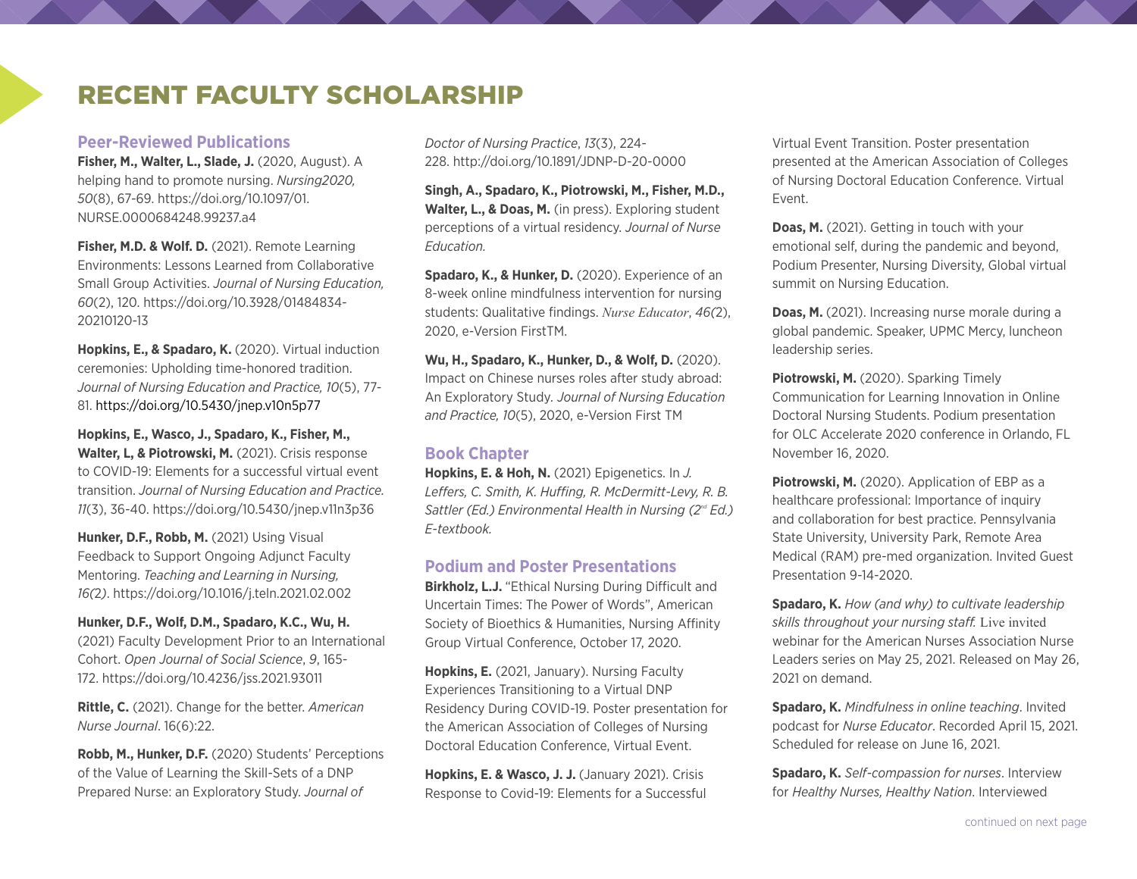### RECENT FACULTY SCHOLARSHIP

### **Peer-Reviewed Publications**

**Fisher, M., Walter, L., Slade, J.** (2020, August). A helping hand to promote nursing. *Nursing2020, 50*(8), 67-69. [https://doi.org/10.1097/01.](https://doi.org/10.1097/01.NURSE.0000684248.99237.a4) [NURSE.0000684248.99237.a4](https://doi.org/10.1097/01.NURSE.0000684248.99237.a4)

**Fisher, M.D. & Wolf. D.** (2021). Remote Learning Environments: Lessons Learned from Collaborative Small Group Activities. *Journal of Nursing Education, 60*(2), 120. [https://doi.org/10.3928/01484834-](https://doi.org/10.3928/01484834-20210120-13) [20210120-13](https://doi.org/10.3928/01484834-20210120-13)

**Hopkins, E., & Spadaro, K.** (2020). Virtual induction ceremonies: Upholding time-honored tradition. *Journal of Nursing Education and Practice, 10*(5), 77- 81. <https://doi.org/10.5430/jnep.v10n5p77>

**Hopkins, E., Wasco, J., Spadaro, K., Fisher, M., Walter, L, & Piotrowski, M.** (2021). Crisis response to COVID-19: Elements for a successful virtual event transition. *Journal of Nursing Education and Practice. 11*(3), 36-40.<https://doi.org/10.5430/jnep.v11n3p36>

**Hunker, D.F., Robb, M.** (2021) Using Visual Feedback to Support Ongoing Adjunct Faculty Mentoring. *Teaching and Learning in Nursing, 16(*2*)*. <https://doi.org/10.1016/j.teln.2021.02.002>

**Hunker, D.F., Wolf, D.M., Spadaro, K.C., Wu, H.** (2021) Faculty Development Prior to an International Cohort. *Open Journal of Social Science*, *9*, 165- 172.<https://doi.org/10.4236/jss.2021.93011>

**Rittle, C.** (2021). Change for the better. *American Nurse Journal*. 16(6):22.

**Robb, M., Hunker, D.F.** (2020) Students' Perceptions of the Value of Learning the Skill-Sets of a DNP Prepared Nurse: an Exploratory Study. *Journal of* 

*Doctor of Nursing Practice*, *13*(3), 224- 228. <http://doi.org/10.1891/JDNP-D-20-0000>

**Singh, A., Spadaro, K., Piotrowski, M., Fisher, M.D., Walter, L., & Doas, M.** (in press). Exploring student perceptions of a virtual residency. *Journal of Nurse Education.* 

**Spadaro, K., & Hunker, D.** (2020). Experience of an 8-week online mindfulness intervention for nursing students: Qualitative findings. *Nurse Educator*, *46(*2), 2020, e-Version FirstTM.

**Wu, H., Spadaro, K., Hunker, D., & Wolf, D.** (2020). Impact on Chinese nurses roles after study abroad: An Exploratory Study*. Journal of Nursing Education and Practice, 10*(5), 2020, e-Version First TM

### **Book Chapter**

**Hopkins, E. & Hoh, N.** (2021) Epigenetics. In *J. Leffers, C. Smith, K. Huffing, R. McDermitt-Levy, R. B. Sattler (Ed.) Environmental Health in Nursing (2nd Ed.) E-textbook.*

### **Podium and Poster Presentations**

**Birkholz, L.J.** "Ethical Nursing During Difficult and Uncertain Times: The Power of Words", American Society of Bioethics & Humanities, Nursing Affinity Group Virtual Conference, October 17, 2020.

**Hopkins, E.** (2021, January). Nursing Faculty Experiences Transitioning to a Virtual DNP Residency During COVID-19. Poster presentation for the American Association of Colleges of Nursing Doctoral Education Conference, Virtual Event.

**Hopkins, E. & Wasco, J. J.** (January 2021). Crisis Response to Covid-19: Elements for a Successful Virtual Event Transition. Poster presentation presented at the American Association of Colleges of Nursing Doctoral Education Conference. Virtual Event.

**Doas, M.** (2021). Getting in touch with your emotional self, during the pandemic and beyond, Podium Presenter, Nursing Diversity, Global virtual summit on Nursing Education.

**Doas, M.** (2021). Increasing nurse morale during a global pandemic. Speaker, UPMC Mercy, luncheon leadership series.

Piotrowski, M. (2020). Sparking Timely Communication for Learning Innovation in Online Doctoral Nursing Students. Podium presentation for OLC Accelerate 2020 conference in Orlando, FL November 16, 2020.

**Piotrowski, M.** (2020). Application of EBP as a healthcare professional: Importance of inquiry and collaboration for best practice. Pennsylvania State University, University Park, Remote Area Medical (RAM) pre-med organization. Invited Guest Presentation 9-14-2020.

**Spadaro, K.** *How (and why) to cultivate leadership skills throughout your nursing staff.* Live invited webinar for the American Nurses Association Nurse Leaders series on May 25, 2021. Released on May 26, 2021 on demand.

**Spadaro, K.** *Mindfulness in online teaching*. Invited podcast for *Nurse Educator*. Recorded April 15, 2021. Scheduled for release on June 16, 2021.

**Spadaro, K.** *Self-compassion for nurses*. Interview for *Healthy Nurses, Healthy Nation*. Interviewed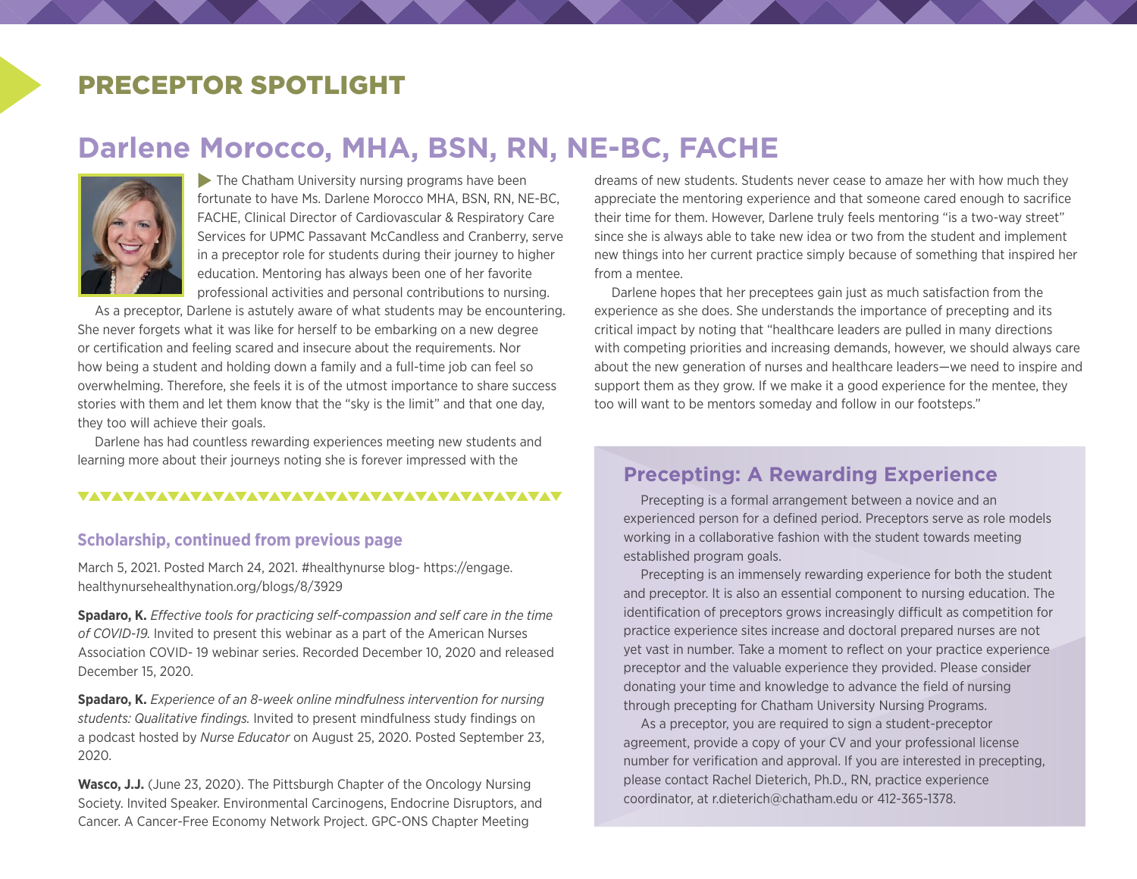### PRECEPTOR SPOTLIGHT

# **Darlene Morocco, MHA, BSN, RN, NE-BC, FACHE**



 $\blacktriangleright$  The Chatham University nursing programs have been fortunate to have Ms. Darlene Morocco MHA, BSN, RN, NE-BC, FACHE, Clinical Director of Cardiovascular & Respiratory Care Services for UPMC Passavant McCandless and Cranberry, serve in a preceptor role for students during their journey to higher education. Mentoring has always been one of her favorite professional activities and personal contributions to nursing.

As a preceptor, Darlene is astutely aware of what students may be encountering. She never forgets what it was like for herself to be embarking on a new degree or certification and feeling scared and insecure about the requirements. Nor how being a student and holding down a family and a full-time job can feel so overwhelming. Therefore, she feels it is of the utmost importance to share success stories with them and let them know that the "sky is the limit" and that one day, they too will achieve their goals.

Darlene has had countless rewarding experiences meeting new students and learning more about their journeys noting she is forever impressed with the

### 

### **Scholarship, continued from previous page**

March 5, 2021. Posted March 24, 2021. #healthynurse blog- https://engage. healthynursehealthynation.org/blogs/8/3929

**Spadaro, K.** *Effective tools for practicing self-compassion and self care in the time of COVID-19.* Invited to present this webinar as a part of the American Nurses Association COVID- 19 webinar series. Recorded December 10, 2020 and released December 15, 2020.

**Spadaro, K.** *Experience of an 8-week online mindfulness intervention for nursing students: Qualitative findings.* Invited to present mindfulness study findings on a podcast hosted by *Nurse Educator* on August 25, 2020. Posted September 23, 2020.

**Wasco, J.J.** (June 23, 2020). The Pittsburgh Chapter of the Oncology Nursing Society. Invited Speaker. Environmental Carcinogens, Endocrine Disruptors, and Cancer. A Cancer-Free Economy Network Project. GPC-ONS Chapter Meeting

dreams of new students. Students never cease to amaze her with how much they appreciate the mentoring experience and that someone cared enough to sacrifice their time for them. However, Darlene truly feels mentoring "is a two-way street" since she is always able to take new idea or two from the student and implement new things into her current practice simply because of something that inspired her from a mentee.

Darlene hopes that her preceptees gain just as much satisfaction from the experience as she does. She understands the importance of precepting and its critical impact by noting that "healthcare leaders are pulled in many directions with competing priorities and increasing demands, however, we should always care about the new generation of nurses and healthcare leaders—we need to inspire and support them as they grow. If we make it a good experience for the mentee, they too will want to be mentors someday and follow in our footsteps."

### **Precepting: A Rewarding Experience**

Precepting is a formal arrangement between a novice and an experienced person for a defined period. Preceptors serve as role models working in a collaborative fashion with the student towards meeting established program goals.

Precepting is an immensely rewarding experience for both the student and preceptor. It is also an essential component to nursing education. The identification of preceptors grows increasingly difficult as competition for practice experience sites increase and doctoral prepared nurses are not yet vast in number. Take a moment to reflect on your practice experience preceptor and the valuable experience they provided. Please consider donating your time and knowledge to advance the field of nursing through precepting for Chatham University Nursing Programs.

As a preceptor, you are required to sign a student-preceptor agreement, provide a copy of your CV and your professional license number for verification and approval. If you are interested in precepting, please contact Rachel Dieterich, Ph.D., RN, practice experience coordinator, at r.dieterich@chatham.edu or 412-365-1378.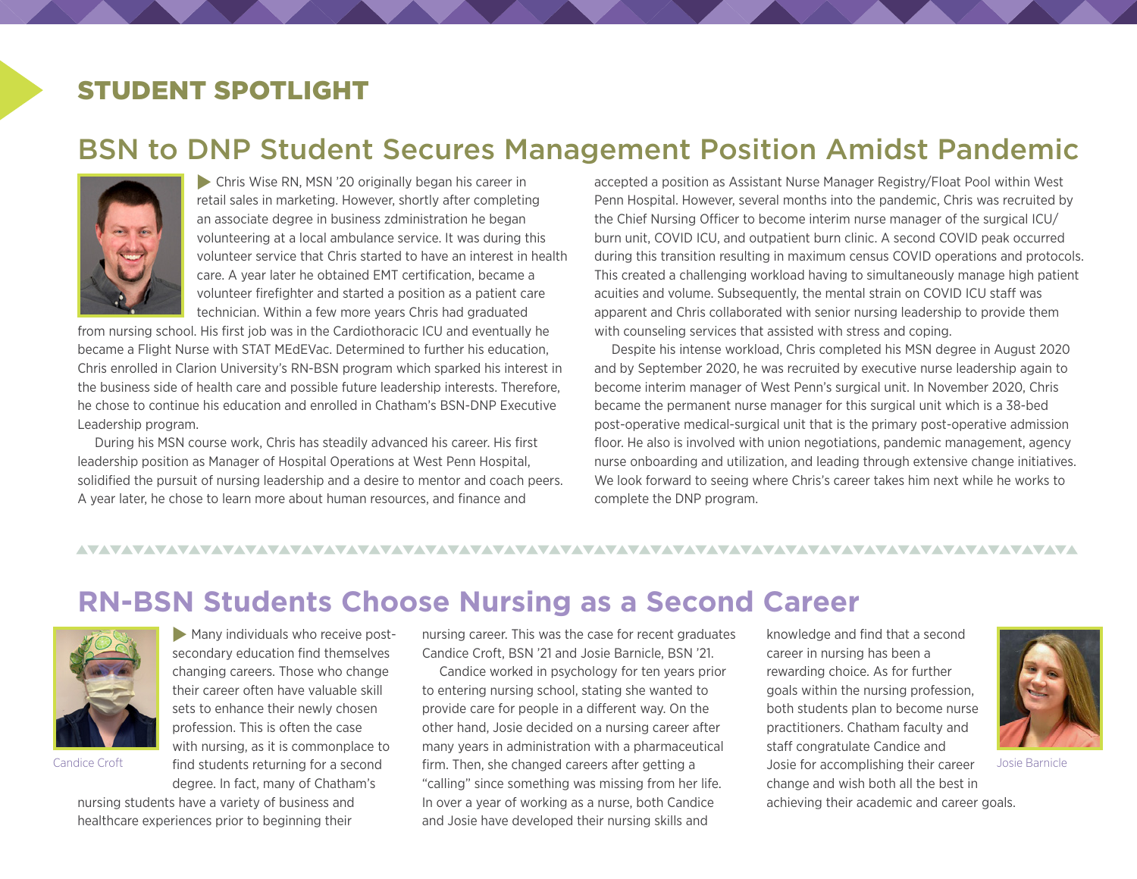# STUDENT SPOTLIGHT

# BSN to DNP Student Secures Management Position Amidst Pandemic



 $\triangleright$  Chris Wise RN, MSN '20 originally began his career in retail sales in marketing. However, shortly after completing an associate degree in business zdministration he began volunteering at a local ambulance service. It was during this volunteer service that Chris started to have an interest in health care. A year later he obtained EMT certification, became a volunteer firefighter and started a position as a patient care technician. Within a few more years Chris had graduated

from nursing school. His first job was in the Cardiothoracic ICU and eventually he became a Flight Nurse with STAT MEdEVac. Determined to further his education, Chris enrolled in Clarion University's RN-BSN program which sparked his interest in the business side of health care and possible future leadership interests. Therefore, he chose to continue his education and enrolled in Chatham's BSN-DNP Executive Leadership program.

During his MSN course work, Chris has steadily advanced his career. His first leadership position as Manager of Hospital Operations at West Penn Hospital, solidified the pursuit of nursing leadership and a desire to mentor and coach peers. A year later, he chose to learn more about human resources, and finance and

accepted a position as Assistant Nurse Manager Registry/Float Pool within West Penn Hospital. However, several months into the pandemic, Chris was recruited by the Chief Nursing Officer to become interim nurse manager of the surgical ICU/ burn unit, COVID ICU, and outpatient burn clinic. A second COVID peak occurred during this transition resulting in maximum census COVID operations and protocols. This created a challenging workload having to simultaneously manage high patient acuities and volume. Subsequently, the mental strain on COVID ICU staff was apparent and Chris collaborated with senior nursing leadership to provide them with counseling services that assisted with stress and coping.

Despite his intense workload, Chris completed his MSN degree in August 2020 and by September 2020, he was recruited by executive nurse leadership again to become interim manager of West Penn's surgical unit. In November 2020, Chris became the permanent nurse manager for this surgical unit which is a 38-bed post-operative medical-surgical unit that is the primary post-operative admission floor. He also is involved with union negotiations, pandemic management, agency nurse onboarding and utilization, and leading through extensive change initiatives. We look forward to seeing where Chris's career takes him next while he works to complete the DNP program.

### 

# **RN-BSN Students Choose Nursing as a Second Career**



 $\blacktriangleright$  Many individuals who receive postsecondary education find themselves changing careers. Those who change their career often have valuable skill sets to enhance their newly chosen profession. This is often the case with nursing, as it is commonplace to find students returning for a second degree. In fact, many of Chatham's

nursing students have a variety of business and healthcare experiences prior to beginning their

nursing career. This was the case for recent graduates Candice Croft, BSN '21 and Josie Barnicle, BSN '21.

Candice worked in psychology for ten years prior to entering nursing school, stating she wanted to provide care for people in a different way. On the other hand, Josie decided on a nursing career after many years in administration with a pharmaceutical Candice Croft **Find students returning for a second** firm. Then, she changed careers after getting a soming to accomplishing their career Josie Barnicle "calling" since something was missing from her life. In over a year of working as a nurse, both Candice and Josie have developed their nursing skills and

knowledge and find that a second career in nursing has been a rewarding choice. As for further goals within the nursing profession, both students plan to become nurse practitioners. Chatham faculty and staff congratulate Candice and Josie for accomplishing their career change and wish both all the best in



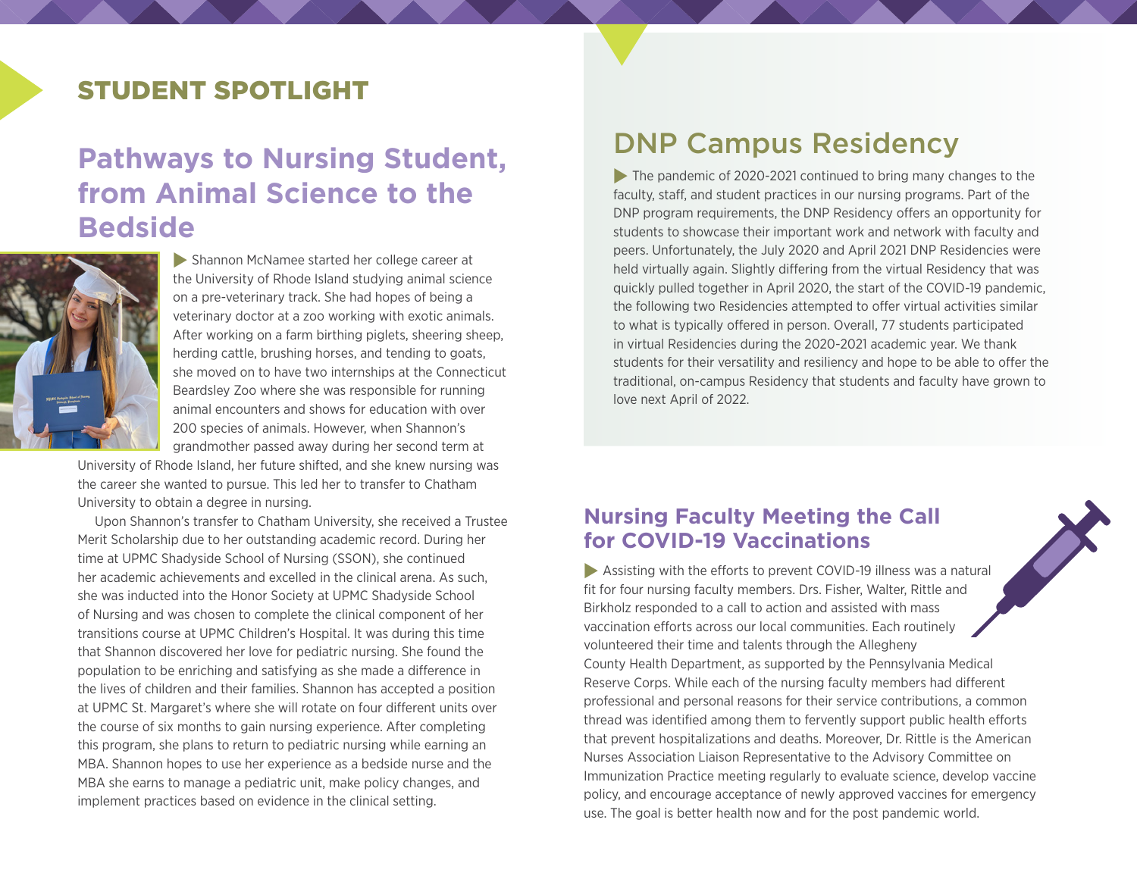# STUDENT SPOTLIGHT

# **Pathways to Nursing Student, from Animal Science to the Bedside**



**Shannon McNamee started her college career at** the University of Rhode Island studying animal science on a pre-veterinary track. She had hopes of being a veterinary doctor at a zoo working with exotic animals. After working on a farm birthing piglets, sheering sheep, herding cattle, brushing horses, and tending to goats, she moved on to have two internships at the Connecticut Beardsley Zoo where she was responsible for running animal encounters and shows for education with over 200 species of animals. However, when Shannon's grandmother passed away during her second term at

University of Rhode Island, her future shifted, and she knew nursing was the career she wanted to pursue. This led her to transfer to Chatham University to obtain a degree in nursing.

Upon Shannon's transfer to Chatham University, she received a Trustee Merit Scholarship due to her outstanding academic record. During her time at UPMC Shadyside School of Nursing (SSON), she continued her academic achievements and excelled in the clinical arena. As such, she was inducted into the Honor Society at UPMC Shadyside School of Nursing and was chosen to complete the clinical component of her transitions course at UPMC Children's Hospital. It was during this time that Shannon discovered her love for pediatric nursing. She found the population to be enriching and satisfying as she made a difference in the lives of children and their families. Shannon has accepted a position at UPMC St. Margaret's where she will rotate on four different units over the course of six months to gain nursing experience. After completing this program, she plans to return to pediatric nursing while earning an MBA. Shannon hopes to use her experience as a bedside nurse and the MBA she earns to manage a pediatric unit, make policy changes, and implement practices based on evidence in the clinical setting.

# DNP Campus Residency

 $\blacktriangleright$  The pandemic of 2020-2021 continued to bring many changes to the faculty, staff, and student practices in our nursing programs. Part of the DNP program requirements, the DNP Residency offers an opportunity for students to showcase their important work and network with faculty and peers. Unfortunately, the July 2020 and April 2021 DNP Residencies were held virtually again. Slightly differing from the virtual Residency that was quickly pulled together in April 2020, the start of the COVID-19 pandemic, the following two Residencies attempted to offer virtual activities similar to what is typically offered in person. Overall, 77 students participated in virtual Residencies during the 2020-2021 academic year. We thank students for their versatility and resiliency and hope to be able to offer the traditional, on-campus Residency that students and faculty have grown to love next April of 2022.

### **Nursing Faculty Meeting the Call for COVID-19 Vaccinations**

 $\blacktriangleright$  Assisting with the efforts to prevent COVID-19 illness was a natural fit for four nursing faculty members. Drs. Fisher, Walter, Rittle and Birkholz responded to a call to action and assisted with mass vaccination efforts across our local communities. Each routinely volunteered their time and talents through the Allegheny County Health Department, as supported by the Pennsylvania Medical Reserve Corps. While each of the nursing faculty members had different professional and personal reasons for their service contributions, a common thread was identified among them to fervently support public health efforts that prevent hospitalizations and deaths. Moreover, Dr. Rittle is the American Nurses Association Liaison Representative to the Advisory Committee on Immunization Practice meeting regularly to evaluate science, develop vaccine policy, and encourage acceptance of newly approved vaccines for emergency use. The goal is better health now and for the post pandemic world.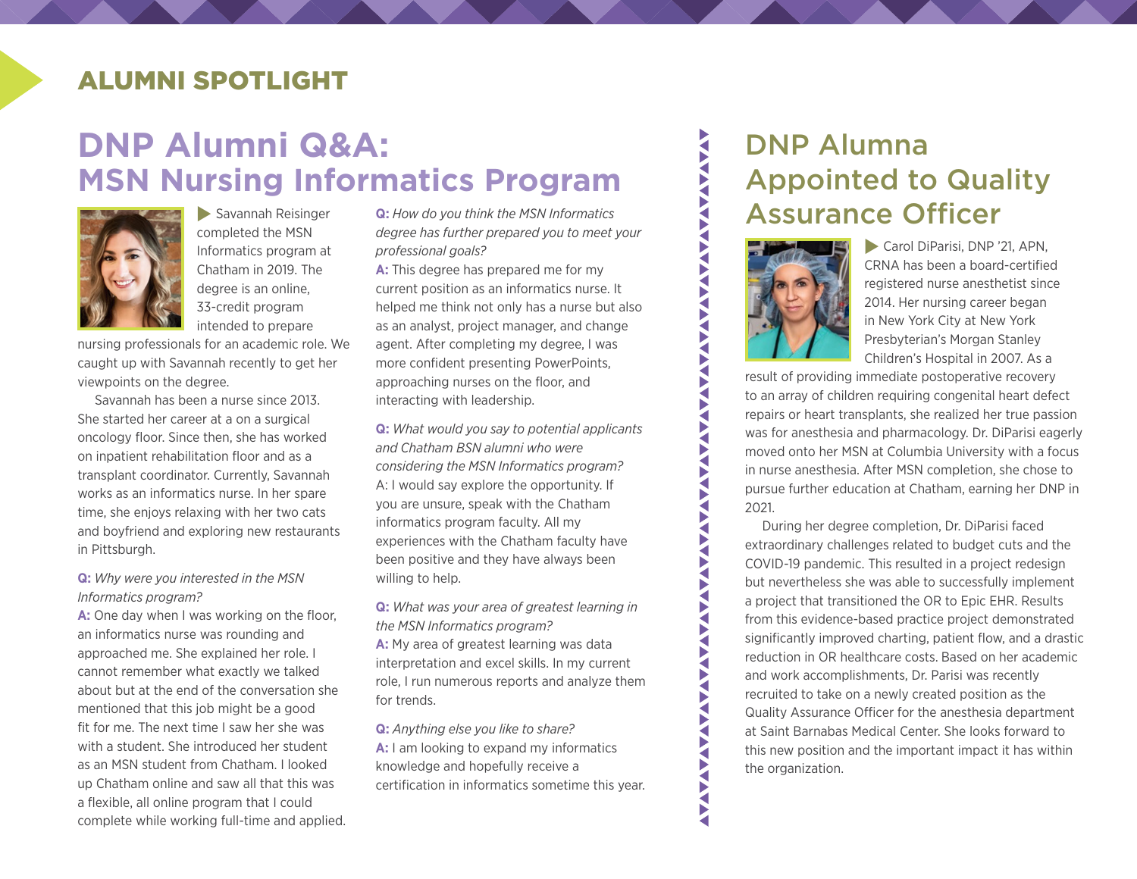### ALUMNI SPOTLIGHT

# **DNP Alumni Q&A: MSN Nursing Informatics Program**



 $\blacktriangleright$  Savannah Reisinger completed the MSN Informatics program at Chatham in 2019. The degree is an online, 33-credit program intended to prepare

nursing professionals for an academic role. We caught up with Savannah recently to get her viewpoints on the degree.

Savannah has been a nurse since 2013. She started her career at a on a surgical oncology floor. Since then, she has worked on inpatient rehabilitation floor and as a transplant coordinator. Currently, Savannah works as an informatics nurse. In her spare time, she enjoys relaxing with her two cats and boyfriend and exploring new restaurants in Pittsburgh.

### **Q:** *Why were you interested in the MSN Informatics program?*

**A:** One day when I was working on the floor, an informatics nurse was rounding and approached me. She explained her role. I cannot remember what exactly we talked about but at the end of the conversation she mentioned that this job might be a good fit for me. The next time I saw her she was with a student. She introduced her student as an MSN student from Chatham. I looked up Chatham online and saw all that this was a flexible, all online program that I could complete while working full-time and applied. **Q:** *How do you think the MSN Informatics degree has further prepared you to meet your professional goals?*

**A:** This degree has prepared me for my current position as an informatics nurse. It helped me think not only has a nurse but also as an analyst, project manager, and change agent. After completing my degree, I was more confident presenting PowerPoints, approaching nurses on the floor, and interacting with leadership.

**Q:** *What would you say to potential applicants and Chatham BSN alumni who were considering the MSN Informatics program?* A: I would say explore the opportunity. If you are unsure, speak with the Chatham informatics program faculty. All my experiences with the Chatham faculty have been positive and they have always been willing to help.

**Q:** *What was your area of greatest learning in the MSN Informatics program?* **A:** My area of greatest learning was data interpretation and excel skills. In my current role, I run numerous reports and analyze them for trends.

**Q:** *Anything else you like to share?* **A:** I am looking to expand my informatics knowledge and hopefully receive a certification in informatics sometime this year.

# DNP Alumna Appointed to Quality Assurance Officer



**AVA** 

VAV. ₹ ₹ VAV

**AVA** 

AVAVAV**I** 

**ANAVI** 

Carol DiParisi, DNP '21, APN, CRNA has been a board-certified registered nurse anesthetist since 2014. Her nursing career began in New York City at New York Presbyterian's Morgan Stanley Children's Hospital in 2007. As a

result of providing immediate postoperative recovery to an array of children requiring congenital heart defect repairs or heart transplants, she realized her true passion was for anesthesia and pharmacology. Dr. DiParisi eagerly moved onto her MSN at Columbia University with a focus in nurse anesthesia. After MSN completion, she chose to pursue further education at Chatham, earning her DNP in 2021.

During her degree completion, Dr. DiParisi faced extraordinary challenges related to budget cuts and the COVID-19 pandemic. This resulted in a project redesign but nevertheless she was able to successfully implement a project that transitioned the OR to Epic EHR. Results from this evidence-based practice project demonstrated significantly improved charting, patient flow, and a drastic reduction in OR healthcare costs. Based on her academic and work accomplishments, Dr. Parisi was recently recruited to take on a newly created position as the Quality Assurance Officer for the anesthesia department at Saint Barnabas Medical Center. She looks forward to this new position and the important impact it has within the organization.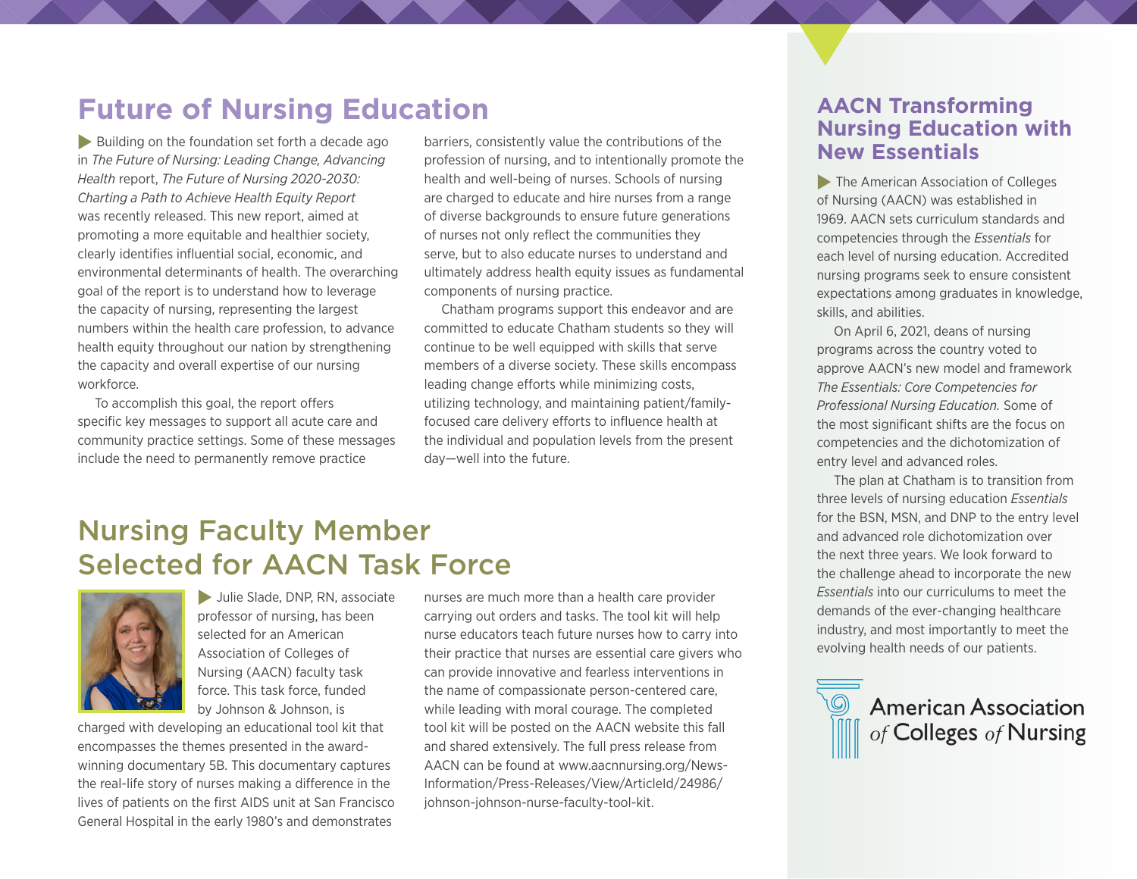# **Future of Nursing Education**

 $\blacktriangleright$  Building on the foundation set forth a decade ago in *The Future of Nursing: Leading Change, Advancing Health* report, *The Future of Nursing 2020-2030: Charting a Path to Achieve Health Equity Report* was recently released. This new report, aimed at promoting a more equitable and healthier society, clearly identifies influential social, economic, and environmental determinants of health. The overarching goal of the report is to understand how to leverage the capacity of nursing, representing the largest numbers within the health care profession, to advance health equity throughout our nation by strengthening the capacity and overall expertise of our nursing workforce.

To accomplish this goal, the report offers specific key messages to support all acute care and community practice settings. Some of these messages include the need to permanently remove practice

barriers, consistently value the contributions of the profession of nursing, and to intentionally promote the health and well-being of nurses. Schools of nursing are charged to educate and hire nurses from a range of diverse backgrounds to ensure future generations of nurses not only reflect the communities they serve, but to also educate nurses to understand and ultimately address health equity issues as fundamental components of nursing practice.

Chatham programs support this endeavor and are committed to educate Chatham students so they will continue to be well equipped with skills that serve members of a diverse society. These skills encompass leading change efforts while minimizing costs, utilizing technology, and maintaining patient/familyfocused care delivery efforts to influence health at the individual and population levels from the present day—well into the future.

# Nursing Faculty Member Selected for AACN Task Force



Julie Slade, DNP, RN, associate professor of nursing, has been selected for an American Association of Colleges of Nursing (AACN) faculty task force. This task force, funded by Johnson & Johnson, is

charged with developing an educational tool kit that encompasses the themes presented in the awardwinning documentary 5B. This documentary captures the real-life story of nurses making a difference in the lives of patients on the first AIDS unit at San Francisco General Hospital in the early 1980's and demonstrates

nurses are much more than a health care provider carrying out orders and tasks. The tool kit will help nurse educators teach future nurses how to carry into their practice that nurses are essential care givers who can provide innovative and fearless interventions in the name of compassionate person-centered care, while leading with moral courage. The completed tool kit will be posted on the AACN website this fall and shared extensively. The full press release from AACN can be found at [www.aacnnursing.org/News-](https://www.aacnnursing.org/News-Information/Press-Releases/View/ArticleId/24986/johnson-johnson-nurse-faculty-tool-kit)[Information/Press-Releases/View/ArticleId/24986/](https://www.aacnnursing.org/News-Information/Press-Releases/View/ArticleId/24986/johnson-johnson-nurse-faculty-tool-kit) [johnson-johnson-nurse-faculty-tool-kit](https://www.aacnnursing.org/News-Information/Press-Releases/View/ArticleId/24986/johnson-johnson-nurse-faculty-tool-kit).

### **AACN Transforming Nursing Education with New Essentials**

 $\blacktriangleright$  The American Association of Colleges of Nursing (AACN) was established in 1969. AACN sets curriculum standards and competencies through the *Essentials* for each level of nursing education. Accredited nursing programs seek to ensure consistent expectations among graduates in knowledge, skills, and abilities.

On April 6, 2021, deans of nursing programs across the country voted to approve AACN's new model and framework *The Essentials: Core Competencies for Professional Nursing Education.* Some of the most significant shifts are the focus on competencies and the dichotomization of entry level and advanced roles.

The plan at Chatham is to transition from three levels of nursing education *Essentials*  for the BSN, MSN, and DNP to the entry level and advanced role dichotomization over the next three years. We look forward to the challenge ahead to incorporate the new *Essentials* into our curriculums to meet the demands of the ever-changing healthcare industry, and most importantly to meet the evolving health needs of our patients.

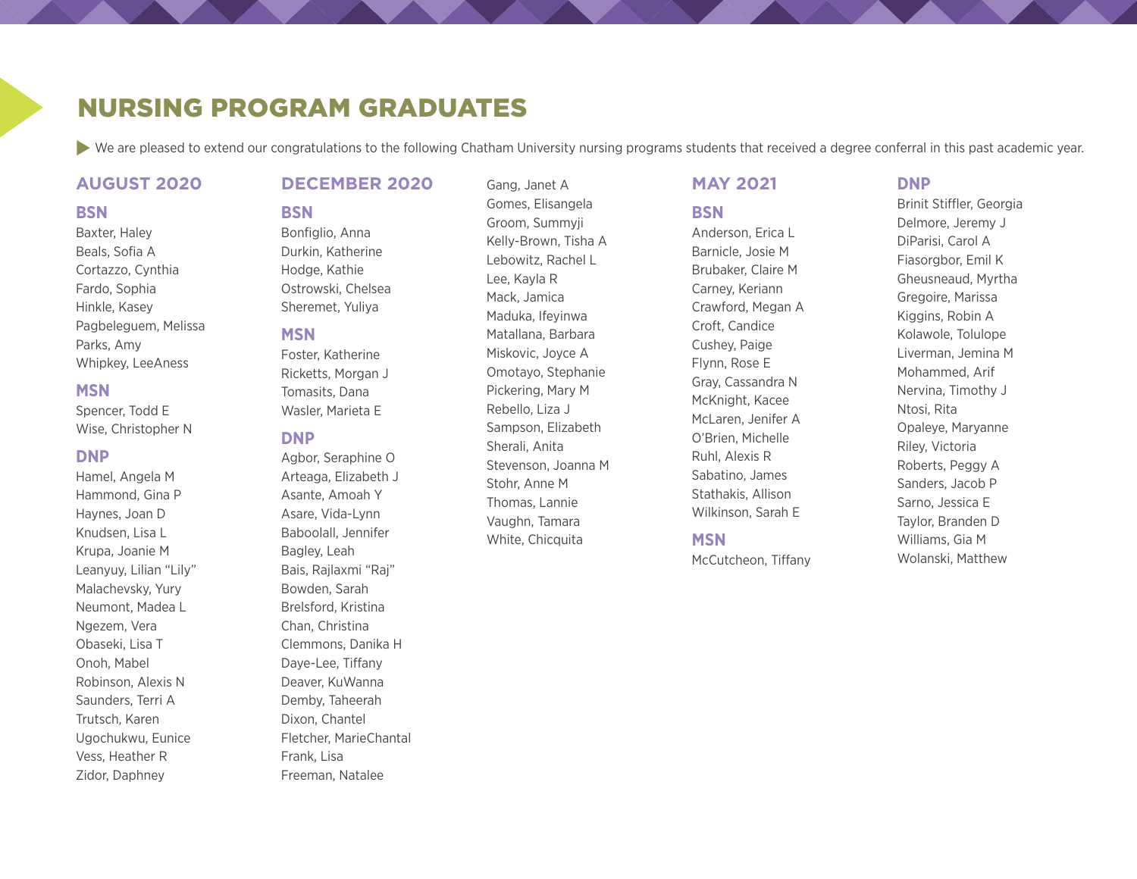### NURSING PROGRAM GRADUATES

**BSN**

▶ We are pleased to extend our congratulations to the following Chatham University nursing programs students that received a degree conferral in this past academic year.

Gang, Janet A

### **AUGUST 2020**

#### **BSN**

Baxter, Haley Beals, Sofia A Cortazzo, Cynthia Fardo, Sophia Hinkle, Kasey Pagbeleguem, Melissa Parks, Amy Whipkey, LeeAness

### **MSN**

Spencer, Todd E Wise, Christopher N

### **DNP**

Hamel, Angela M Hammond, Gina P Haynes, Joan D Knudsen, Lisa L Krupa, Joanie M Leanyuy, Lilian "Lily" Malachevsky, Yury Neumont, Madea L Ngezem, Vera Obaseki, Lisa T Onoh, Mabel Robinson, Alexis N Saunders, Terri A Trutsch, Karen Ugochukwu, Eunice Vess, Heather R Zidor, Daphney

### **DECEMBER 2020**

Bonfiglio, Anna Durkin, Katherine Hodge, Kathie Ostrowski, Chelsea Sheremet, Yuliya

### **MSN**

Foster, Katherine Ricketts, Morgan J Tomasits, Dana Wasler, Marieta E

#### **DNP**

Agbor, Seraphine O Arteaga, Elizabeth J Asante, Amoah Y Asare, Vida-Lynn Baboolall, Jennifer Bagley, Leah Bais, Rajlaxmi "Raj" Bowden, Sarah Brelsford, Kristina Chan, Christina Clemmons, Danika H Daye-Lee, Tiffany Deaver, KuWanna Demby, Taheerah Dixon, Chantel Fletcher, MarieChantal Frank, Lisa Freeman, Natalee

Gomes, Elisangela Groom, Summyji Kelly-Brown, Tisha A Lebowitz, Rachel L Lee, Kayla R Mack, Jamica Maduka, Ifeyinwa Matallana, Barbara Miskovic, Joyce A Omotayo, Stephanie Pickering, Mary M Rebello, Liza J Sampson, Elizabeth Sherali, Anita Stevenson, Joanna M Stohr, Anne M Thomas, Lannie Vaughn, Tamara White, Chicquita

### **MAY 2021**

**BSN**

Anderson, Erica L Barnicle, Josie M Brubaker, Claire M Carney, Keriann Crawford, Megan A Croft, Candice Cushey, Paige Flynn, Rose E Gray, Cassandra N McKnight, Kacee McLaren, Jenifer A O'Brien, Michelle Ruhl, Alexis R Sabatino, James Stathakis, Allison Wilkinson, Sarah E

#### **MSN**

McCutcheon, Tiffany

### **DNP**

Brinit Stiffler, Georgia Delmore, Jeremy J DiParisi, Carol A Fiasorgbor, Emil K Gheusneaud, Myrtha Gregoire, Marissa Kiggins, Robin A Kolawole, Tolulope Liverman, Jemina M Mohammed, Arif Nervina, Timothy J Ntosi, Rita Opaleye, Maryanne Riley, Victoria Roberts, Peggy A Sanders, Jacob P Sarno, Jessica E Taylor, Branden D Williams, Gia M Wolanski, Matthew